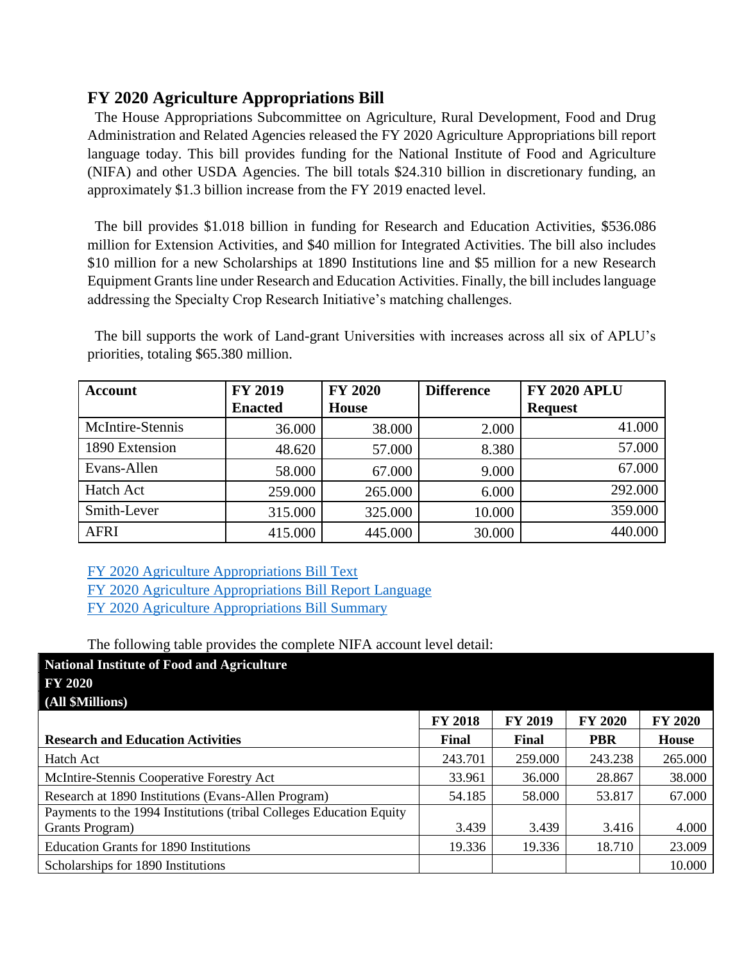## **FY 2020 Agriculture Appropriations Bill**

 The House Appropriations Subcommittee on Agriculture, Rural Development, Food and Drug Administration and Related Agencies released the FY 2020 Agriculture Appropriations bill report language today. This bill provides funding for the National Institute of Food and Agriculture (NIFA) and other USDA Agencies. The bill totals \$24.310 billion in discretionary funding, an approximately \$1.3 billion increase from the FY 2019 enacted level.

 The bill provides \$1.018 billion in funding for Research and Education Activities, \$536.086 million for Extension Activities, and \$40 million for Integrated Activities. The bill also includes \$10 million for a new Scholarships at 1890 Institutions line and \$5 million for a new Research Equipment Grants line under Research and Education Activities. Finally, the bill includes language addressing the Specialty Crop Research Initiative's matching challenges.

 The bill supports the work of Land-grant Universities with increases across all six of APLU's priorities, totaling \$65.380 million.

| Account          | <b>FY 2019</b> | <b>FY 2020</b> | <b>Difference</b> | <b>FY 2020 APLU</b> |
|------------------|----------------|----------------|-------------------|---------------------|
|                  | <b>Enacted</b> | <b>House</b>   |                   | <b>Request</b>      |
| McIntire-Stennis | 36.000         | 38.000         | 2.000             | 41.000              |
| 1890 Extension   | 48.620         | 57.000         | 8.380             | 57.000              |
| Evans-Allen      | 58.000         | 67.000         | 9.000             | 67.000              |
| Hatch Act        | 259.000        | 265.000        | 6.000             | 292.000             |
| Smith-Lever      | 315.000        | 325.000        | 10.000            | 359.000             |
| <b>AFRI</b>      | 415.000        | 445.000        | 30.000            | 440.000             |

[FY 2020 Agriculture Appropriations Bill Text](http://r20.rs6.net/tn.jsp?f=001xmMxwDx5pkgoYHc8MBsP9LkLxG7Y5MGWggX4UzsexUdwKFf18DcRrBGvTBO_HtPrG0JIuOA3jNUI2aT6AWeUNawTq1TCQJll1Z1gISfEwT8U5N3qgDxnj3-Xe0--pkm6zJTHlrL_34VDUUmD1p6Gy7eGkZ3B8iCH_7nDymkDAjE8xWQ-bCqgFhuITFs-nviAw4WCj_hsW6AKzj3oc_9FwbcKpAA7nkgaF5hPBZz_z0diBZmg6rBZScv6IK2TSvgrbZhOQOynRlYasjV7cD-fln05Rqqnu85dk1zD0IaZx1ekBXA9Gi3ThMUkpdl0PlyW&c=BV0WAnsjaPXo22F9ZGBva869bQ7kSQSmqvdXVhV3aqg2zo2_r6JuyA==&ch=ZIys0nNl5425GnpeQ_qDZ9amGE-HM8DDPtjud3vFKJKgSJW5q5f7ww==) [FY 2020 Agriculture Appropriations Bill Report Language](http://r20.rs6.net/tn.jsp?f=001xmMxwDx5pkgoYHc8MBsP9LkLxG7Y5MGWggX4UzsexUdwKFf18DcRrFa4OCXQb14Cef7Fep9jzazurBHeamBuU9BgiMh-9Pb3e5QFO39hLg_zHy1sdzC2rnv70M0JCaE2vvLQHD0EX6vLyN6KJQlJrM9lP2ukX9Dkz8dxbdNACuSLAHp2YtgXq-WWFMyW7cifLLGWFhN8wEfa3fLx7zC6-pr2mt8pi5fS3KlzVFTkkNApA17QFLQ7_MH9jc_s3BT4KaRwB-4WaYZhdE6NlMojAMfcDWhs_SrkmK1MTLmLi9sfjpQwq_c6dw==&c=BV0WAnsjaPXo22F9ZGBva869bQ7kSQSmqvdXVhV3aqg2zo2_r6JuyA==&ch=ZIys0nNl5425GnpeQ_qDZ9amGE-HM8DDPtjud3vFKJKgSJW5q5f7ww==) [FY 2020 Agriculture Appropriations Bill Summary](https://appropriations.house.gov/news/press-releases/appropriations-committee-releases-fiscal-year-2020-agriculture-rural-development?fbclid=IwAR1BupazcPfXMWOzv4n0_6rkEu5r-34lHwoh5HVDVlYjzzL3AMenaoJyYDM)

## The following table provides the complete NIFA account level detail:

| <b>National Institute of Food and Agriculture</b>                   |                |                |                |                |
|---------------------------------------------------------------------|----------------|----------------|----------------|----------------|
| <b>FY 2020</b>                                                      |                |                |                |                |
| (All \$Millions)                                                    |                |                |                |                |
|                                                                     | <b>FY 2018</b> | <b>FY 2019</b> | <b>FY 2020</b> | <b>FY 2020</b> |
| <b>Research and Education Activities</b>                            | Final          | Final          | <b>PBR</b>     | <b>House</b>   |
| Hatch Act                                                           | 243.701        | 259.000        | 243.238        | 265.000        |
| McIntire-Stennis Cooperative Forestry Act                           | 33.961         | 36.000         | 28.867         | 38.000         |
| Research at 1890 Institutions (Evans-Allen Program)                 | 54.185         | 58.000         | 53.817         | 67.000         |
| Payments to the 1994 Institutions (tribal Colleges Education Equity |                |                |                |                |
| Grants Program)                                                     | 3.439          | 3.439          | 3.416          | 4.000          |
| <b>Education Grants for 1890 Institutions</b>                       | 19.336         | 19.336         | 18.710         | 23.009         |
| Scholarships for 1890 Institutions                                  |                |                |                | 10.000         |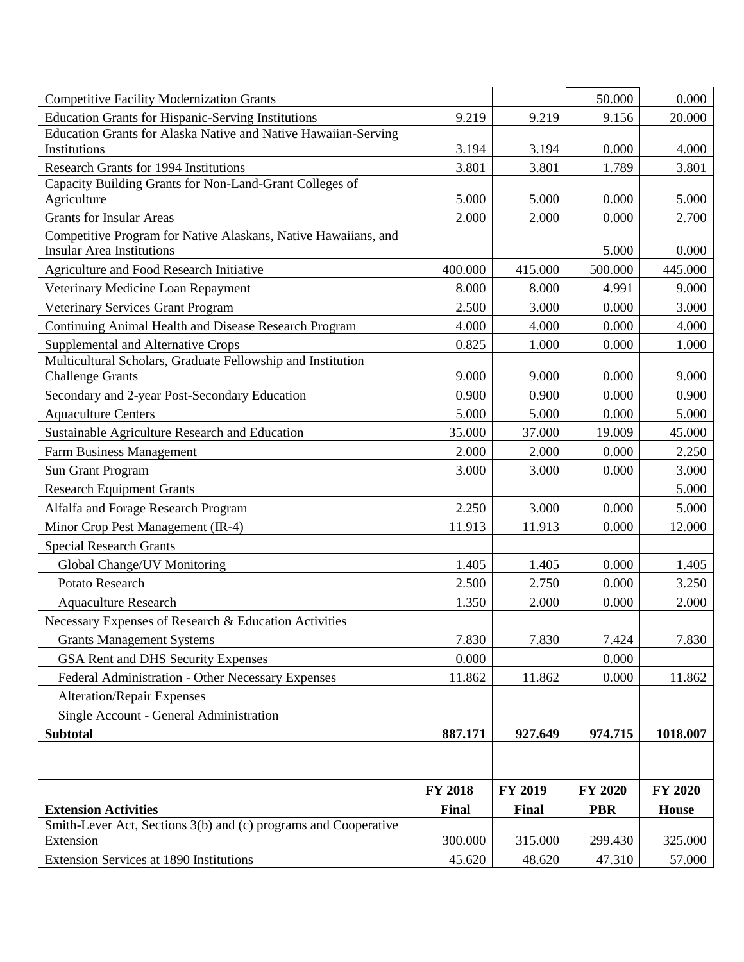| <b>Competitive Facility Modernization Grants</b>                                       |         |                | 50.000     | 0.000        |
|----------------------------------------------------------------------------------------|---------|----------------|------------|--------------|
| <b>Education Grants for Hispanic-Serving Institutions</b>                              | 9.219   | 9.219          | 9.156      | 20.000       |
| Education Grants for Alaska Native and Native Hawaiian-Serving                         |         |                |            |              |
| Institutions                                                                           | 3.194   | 3.194          | 0.000      | 4.000        |
| <b>Research Grants for 1994 Institutions</b>                                           | 3.801   | 3.801          | 1.789      | 3.801        |
| Capacity Building Grants for Non-Land-Grant Colleges of<br>Agriculture                 | 5.000   | 5.000          | 0.000      | 5.000        |
| <b>Grants for Insular Areas</b>                                                        | 2.000   | 2.000          | 0.000      | 2.700        |
| Competitive Program for Native Alaskans, Native Hawaiians, and                         |         |                |            |              |
| <b>Insular Area Institutions</b>                                                       |         |                | 5.000      | 0.000        |
| <b>Agriculture and Food Research Initiative</b>                                        | 400.000 | 415.000        | 500.000    | 445.000      |
| Veterinary Medicine Loan Repayment                                                     | 8.000   | 8.000          | 4.991      | 9.000        |
| Veterinary Services Grant Program                                                      | 2.500   | 3.000          | 0.000      | 3.000        |
| Continuing Animal Health and Disease Research Program                                  | 4.000   | 4.000          | 0.000      | 4.000        |
| Supplemental and Alternative Crops                                                     | 0.825   | 1.000          | 0.000      | 1.000        |
| Multicultural Scholars, Graduate Fellowship and Institution<br><b>Challenge Grants</b> | 9.000   | 9.000          | 0.000      | 9.000        |
| Secondary and 2-year Post-Secondary Education                                          | 0.900   | 0.900          | 0.000      | 0.900        |
| <b>Aquaculture Centers</b>                                                             | 5.000   | 5.000          | 0.000      | 5.000        |
| Sustainable Agriculture Research and Education                                         | 35.000  | 37.000         | 19.009     | 45.000       |
| Farm Business Management                                                               | 2.000   | 2.000          | 0.000      | 2.250        |
| Sun Grant Program                                                                      | 3.000   | 3.000          | 0.000      | 3.000        |
| <b>Research Equipment Grants</b>                                                       |         |                |            | 5.000        |
| Alfalfa and Forage Research Program                                                    | 2.250   | 3.000          | 0.000      | 5.000        |
| Minor Crop Pest Management (IR-4)                                                      | 11.913  | 11.913         | 0.000      | 12.000       |
| <b>Special Research Grants</b>                                                         |         |                |            |              |
| Global Change/UV Monitoring                                                            | 1.405   | 1.405          | 0.000      | 1.405        |
| Potato Research                                                                        | 2.500   | 2.750          | 0.000      | 3.250        |
| <b>Aquaculture Research</b>                                                            | 1.350   | 2.000          | 0.000      | 2.000        |
| Necessary Expenses of Research & Education Activities                                  |         |                |            |              |
| <b>Grants Management Systems</b>                                                       | 7.830   | 7.830          | 7.424      | 7.830        |
| GSA Rent and DHS Security Expenses                                                     | 0.000   |                | 0.000      |              |
| Federal Administration - Other Necessary Expenses                                      | 11.862  | 11.862         | 0.000      | 11.862       |
| <b>Alteration/Repair Expenses</b>                                                      |         |                |            |              |
| Single Account - General Administration                                                |         |                |            |              |
| <b>Subtotal</b>                                                                        | 887.171 | 927.649        | 974.715    | 1018.007     |
|                                                                                        |         |                |            |              |
|                                                                                        |         |                |            |              |
|                                                                                        | FY 2018 | <b>FY 2019</b> | FY 2020    | FY 2020      |
| <b>Extension Activities</b>                                                            | Final   | Final          | <b>PBR</b> | <b>House</b> |
| Smith-Lever Act, Sections 3(b) and (c) programs and Cooperative                        |         |                |            |              |
| Extension                                                                              | 300.000 | 315.000        | 299.430    | 325.000      |
| Extension Services at 1890 Institutions                                                | 45.620  | 48.620         | 47.310     | 57.000       |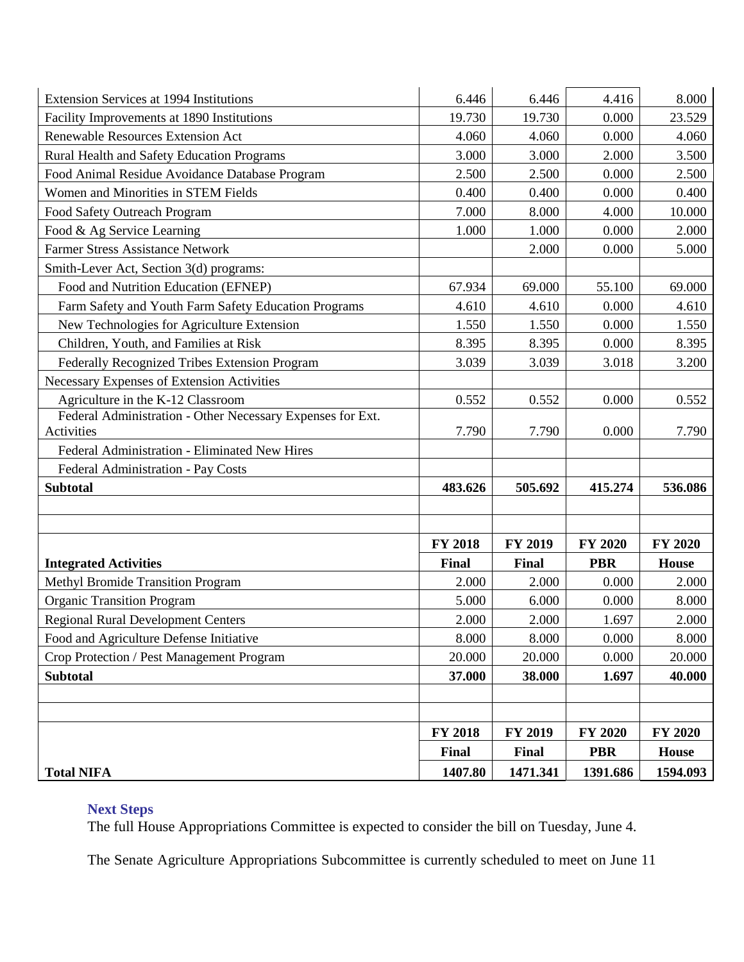| Extension Services at 1994 Institutions                    | 6.446          | 6.446    | 4.416          | 8.000          |
|------------------------------------------------------------|----------------|----------|----------------|----------------|
| Facility Improvements at 1890 Institutions                 | 19.730         | 19.730   | 0.000          | 23.529         |
| <b>Renewable Resources Extension Act</b>                   | 4.060          | 4.060    | 0.000          | 4.060          |
| Rural Health and Safety Education Programs                 | 3.000          | 3.000    | 2.000          | 3.500          |
| Food Animal Residue Avoidance Database Program             | 2.500          | 2.500    | 0.000          | 2.500          |
| Women and Minorities in STEM Fields                        | 0.400          | 0.400    | 0.000          | 0.400          |
| Food Safety Outreach Program                               | 7.000          | 8.000    | 4.000          | 10.000         |
| Food & Ag Service Learning                                 | 1.000          | 1.000    | 0.000          | 2.000          |
| <b>Farmer Stress Assistance Network</b>                    |                | 2.000    | 0.000          | 5.000          |
| Smith-Lever Act, Section 3(d) programs:                    |                |          |                |                |
| Food and Nutrition Education (EFNEP)                       | 67.934         | 69.000   | 55.100         | 69.000         |
| Farm Safety and Youth Farm Safety Education Programs       | 4.610          | 4.610    | 0.000          | 4.610          |
| New Technologies for Agriculture Extension                 | 1.550          | 1.550    | 0.000          | 1.550          |
| Children, Youth, and Families at Risk                      | 8.395          | 8.395    | 0.000          | 8.395          |
| Federally Recognized Tribes Extension Program              | 3.039          | 3.039    | 3.018          | 3.200          |
| Necessary Expenses of Extension Activities                 |                |          |                |                |
| Agriculture in the K-12 Classroom                          | 0.552          | 0.552    | 0.000          | 0.552          |
| Federal Administration - Other Necessary Expenses for Ext. |                |          |                |                |
| Activities                                                 | 7.790          | 7.790    | 0.000          | 7.790          |
| Federal Administration - Eliminated New Hires              |                |          |                |                |
| Federal Administration - Pay Costs                         |                |          |                |                |
| <b>Subtotal</b>                                            | 483.626        | 505.692  | 415.274        | 536.086        |
|                                                            |                |          |                |                |
|                                                            |                |          |                |                |
|                                                            | <b>FY 2018</b> | FY 2019  | <b>FY 2020</b> | <b>FY 2020</b> |
| <b>Integrated Activities</b>                               | Final          | Final    | <b>PBR</b>     | <b>House</b>   |
| <b>Methyl Bromide Transition Program</b>                   | 2.000          | 2.000    | 0.000          | 2.000          |
| <b>Organic Transition Program</b>                          | 5.000          | 6.000    | 0.000          | 8.000          |
| <b>Regional Rural Development Centers</b>                  | 2.000          | 2.000    | 1.697          | 2.000          |
| Food and Agriculture Defense Initiative                    | 8.000          | 8.000    | 0.000          | 8.000          |
| Crop Protection / Pest Management Program                  | 20.000         | 20.000   | 0.000          | 20.000         |
| <b>Subtotal</b>                                            | 37.000         | 38.000   | 1.697          | 40.000         |
|                                                            |                |          |                |                |
|                                                            |                |          |                |                |
|                                                            | <b>FY 2018</b> | FY 2019  | FY 2020        | FY 2020        |
|                                                            | Final          | Final    | <b>PBR</b>     | <b>House</b>   |
| <b>Total NIFA</b>                                          | 1407.80        | 1471.341 | 1391.686       | 1594.093       |

## **Next Steps**

The full House Appropriations Committee is expected to consider the bill on Tuesday, June 4.

The Senate Agriculture Appropriations Subcommittee is currently scheduled to meet on June 11